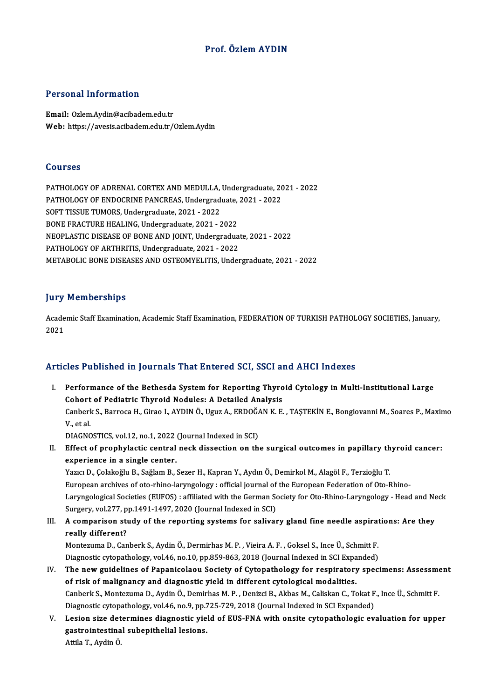# Prof. ÖzlemAYDIN

### Personal Information

Email: Ozlem.Aydin@acibadem.edu.tr Web: https://avesis.acibadem.edu.tr/Ozlem.Aydin

#### Courses

Courses<br>PATHOLOGY OF ADRENAL CORTEX AND MEDULLA, Undergraduate, 2021 - 2022<br>PATHOLOGY OF ENDOCRINE PANCREAS, Undergraduate, 2021, 2022 SOUTSSS<br>PATHOLOGY OF ADRENAL CORTEX AND MEDULLA, Undergraduate, 20<br>PATHOLOGY OF ENDOCRINE PANCREAS, Undergraduate, 2021 - 2022<br>SOFT TISSUE TUMOPS, Undergraduate, 2021, 2022 PATHOLOGY OF ENDOCRINE PANCREAS, Undergraduate, 2021 - 2022<br>SOFT TISSUE TUMORS, Undergraduate, 2021 - 2022 BONE FRACTURE HEALING, Undergraduate, 2021 - 2022 NEOPLASTIC DISEASE OF BONE AND JOINT, Undergraduate, 2021 - 2022 PATHOLOGY OF ARTHRITIS, Undergraduate, 2021 - 2022 METABOLIC BONE DISEASES AND OSTEOMYELITIS, Undergraduate, 2021 - 2022

## **Jury Memberships**

Jury Memberships<br>Academic Staff Examination, Academic Staff Examination, FEDERATION OF TURKISH PATHOLOGY SOCIETIES, January,<br>2021 yary<br>Acade<br>2021

# Articles Published in Journals That Entered SCI, SSCI and AHCI Indexes

rticles Published in Journals That Entered SCI, SSCI and AHCI Indexes<br>I. Performance of the Bethesda System for Reporting Thyroid Cytology in Multi-Institutional Large<br>Cobert of Bedietric Thyroid Nedyles: A Detailed Analys Performance of the Bethesda System for Reporting Thyro<br>Cohort of Pediatric Thyroid Nodules: A Detailed Analysis<br>Conhork S. Barroca H. Circo L. ANDIN Ö. Haur A. EPDOČAN K. E Performance of the Bethesda System for Reporting Thyroid Cytology in Multi-Institutional Large<br>Cohort of Pediatric Thyroid Nodules: A Detailed Analysis<br>Canberk S., Barroca H., Girao I., AYDIN Ö., Uguz A., ERDOĞAN K. E. , T Cohort<br>Canberl<br>V., et al.<br>DIACNC Canberk S., Barroca H., Girao I., AYDIN Ö., Uguz A., ERDOĞA<br>V., et al.<br>DIAGNOSTICS, vol.12, no.1, 2022 (Journal Indexed in SCI)<br>Effect of prephylastic control poek dissestion on th

V., et al.<br>DIAGNOSTICS, vol.12, no.1, 2022 (Journal Indexed in SCI)<br>II. Effect of prophylactic central neck dissection on the surgical outcomes in papillary thyroid cancer:<br>cynoriance in a single center DIAGNOSTICS, vol.12, no.1, 2022<br>Effect of prophylactic central<br>experience in a single center.<br>Your D. Colakoğlu B. Soğlam B. Effect of prophylactic central neck dissection on the surgical outcomes in papillary th<br>experience in a single center.<br>Yazıcı D., Çolakoğlu B., Sağlam B., Sezer H., Kapran Y., Aydın Ö., Demirkol M., Alagöl F., Terzioğlu T.

experience in a single center.<br>Yazıcı D., Çolakoğlu B., Sağlam B., Sezer H., Kapran Y., Aydın Ö., Demirkol M., Alagöl F., Terzioğlu T.<br>European archives of oto-rhino-laryngology : official journal of the European Federatio Yazıcı D., Çolakoğlu B., Sağlam B., Sezer H., Kapran Y., Aydın Ö., Demirkol M., Alagöl F., Terzioğlu T.<br>European archives of oto-rhino-laryngology : official journal of the European Federation of Oto-Rhino-<br>Laryngological European archives of oto-rhino-laryngology : official journal of<br>Laryngological Societies (EUFOS) : affiliated with the German So<br>Surgery, vol.277, pp.1491-1497, 2020 (Journal Indexed in SCI)<br>A semperiser study of the pene Laryngological Societies (EUFOS) : affiliated with the German Society for Oto-Rhino-Laryngology - Head and Ne<br>Surgery, vol.277, pp.1491-1497, 2020 (Journal Indexed in SCI)<br>III. A comparison study of the reporting systems f

# Surgery, vol.277, p<br>A comparison sti<br>really different?<br>Monteguma D. Can A comparison study of the reporting systems for salivary gland fine needle aspirat<br>really different?<br>Montezuma D., Canberk S., Aydin Ö., Dermirhas M. P. , Vieira A. F. , Goksel S., Ince Ü., Schmitt F.<br>Diagnestic gutenathel

really different?<br>Montezuma D., Canberk S., Aydin Ö., Dermirhas M. P. , Vieira A. F. , Goksel S., Ince Ü., Schmitt F.<br>Diagnostic cytopathology, vol.46, no.10, pp.859-863, 2018 (Journal Indexed in SCI Expanded)<br>The new guid

- Montezuma D., Canberk S., Aydin Ö., Dermirhas M. P. , Vieira A. F. , Goksel S., Ince Ü., Schmitt F.<br>Diagnostic cytopathology, vol.46, no.10, pp.859-863, 2018 (Journal Indexed in SCI Expanded)<br>IV. The new guidelines of Papa Diagnostic cytopathology, vol.46, no.10, pp.859-863, 2018 (Journal Indexed in SCI Expar<br>The new guidelines of Papanicolaou Society of Cytopathology for respiratory<br>of risk of malignancy and diagnostic yield in different cy The new guidelines of Papanicolaou Society of Cytopathology for respiratory specimens: Assessme<br>of risk of malignancy and diagnostic yield in different cytological modalities.<br>Canberk S., Montezuma D., Aydin Ö., Demirhas M of risk of malignancy and diagnostic yield in different cytological modalities.<br>Canberk S., Montezuma D., Aydin Ö., Demirhas M. P. , Denizci B., Akbas M., Caliskan C., Tokat F<br>Diagnostic cytopathology, vol.46, no.9, pp.725 Canberk S., Montezuma D., Aydin Ö., Demirhas M. P. , Denizci B., Akbas M., Caliskan C., Tokat F., Ince Ü., Schmitt F.<br>Diagnostic cytopathology, vol.46, no.9, pp.725-729, 2018 (Journal Indexed in SCI Expanded)<br>V. Lesion siz
- Diagnostic cytopathology, vol.46, no.9, pp.725-729, 2018 (Journal Indexed in SCI Expanded)<br>Lesion size determines diagnostic yield of EUS-FNA with onsite cytopathologic ev<br>gastrointestinal subepithelial lesions.<br>Attila T., V. Lesion size determines diagnostic yield of EUS-FNA with onsite cytopathologic evaluation for upper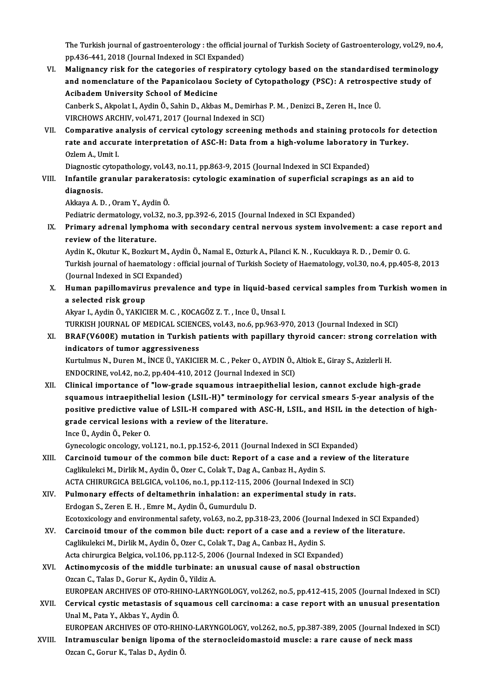The Turkish journal of gastroenterology : the official journal of Turkish Society of Gastroenterology, vol.29, no.4,<br>nn 436,441,2018 (Journal Indoved in SCI Evnanded) The Turkish journal of gastroenterology : the official jo<br>pp.436-441, 2018 (Journal Indexed in SCI Expanded)<br>Malignangy rick for the entegories of reeningtor The Turkish journal of gastroenterology : the official journal of Turkish Society of Gastroenterology, vol.29, no.4<br>pp.436-441, 2018 (Journal Indexed in SCI Expanded)<br>VI. Malignancy risk for the categories of respiratory c

pp.436-441, 2018 (Journal Indexed in SCI Expanded)<br>Malignancy risk for the categories of respiratory cytology based on the standardised terminolog<br>and nomenclature of the Papanicolaou Society of Cytopathology (PSC): A retr Malignancy risk for the categories of res<br>and nomenclature of the Papanicolaou S<br>Acibadem University School of Medicine<br>Canbark S. Almolat L. Ardin Ö. Sabin D. Althas and nomenclature of the Papanicolaou Society of Cytopathology (PSC): A retrosped<br>Acibadem University School of Medicine<br>Canberk S., Akpolat I., Aydin Ö., Sahin D., Akbas M., Demirhas P. M. , Denizci B., Zeren H., Ince Ü.<br>V

Acibadem University School of Medicine<br>Canberk S., Akpolat I., Aydin Ö., Sahin D., Akbas M., Demirhas P. M. , Denizci B., Zeren H., Ince Ü.<br>VIRCHOWS ARCHIV, vol.471, 2017 (Journal Indexed in SCI)

VII. Comparative analysis of cervical cytology screening methods and staining protocols for detection VIRCHOWS ARCHIV, vol.471, 2017 (Journal Indexed in SCI)<br>Comparative analysis of cervical cytology screening methods and staining protocols for denties<br>rate and accurate interpretation of ASC-H: Data from a high-volume labo Comparative a<br>rate and accur<br>Ozlem A., Umit I.<br>Diamestic atten rate and accurate interpretation of ASC-H: Data from a high-volume laboratory i<br>Ozlem A., Umit I.<br>Diagnostic cytopathology, vol.43, no.11, pp.863-9, 2015 (Journal Indexed in SCI Expanded)<br>Infontile grapular perckarategia:

# Ozlem A., Umit I.<br>Diagnostic cytopathology, vol.43, no.11, pp.863-9, 2015 (Journal Indexed in SCI Expanded)<br>VIII. Infantile granular parakeratosis: cytologic examination of superficial scrapings as an aid to Diagnostic cytopathology, vol.43, no.11, pp.863-9, 2015 (Journal Indexed in SCI Expanded)<br>Infantile granular parakeratosis: cytologic examination of superficial scrapings<br>diagnosis.<br>Akkaya A. D. , Oram Y., Aydin Ö. I<mark>nfantile granular parakera</mark><br>diagnosis.<br>Akkaya A. D. , Oram Y., Aydin Ö.<br>Pediatris dermatelegy. vel 32. n <mark>diagnosis.</mark><br>Akkaya A. D. , Oram Y., Aydin Ö.<br>Pediatric dermatology, vol.32, no.3, pp.392-6, 2015 (Journal Indexed in SCI Expanded)<br>Primery adrenal lymphome with essendery sentral perveus system involvem

Akkaya A. D. , Oram Y., Aydin Ö.<br>Pediatric dermatology, vol.32, no.3, pp.392-6, 2015 (Journal Indexed in SCI Expanded)<br>IX. Primary adrenal lymphoma with secondary central nervous system involvement: a case report and<br>r Pediatric dermatology, vol.<br>Primary adrenal lympho<br>review of the literature. Primary adrenal lymphoma with secondary central nervous system involvement: a case re<sub>l</sub><br>review of the literature.<br>Aydin K., Okutur K., Bozkurt M., Aydin Ö., Namal E., Ozturk A., Pilanci K. N. , Kucukkaya R. D. , Demir O.

review of the literature.<br>Aydin K., Okutur K., Bozkurt M., Aydin Ö., Namal E., Ozturk A., Pilanci K. N. , Kucukkaya R. D. , Demir O. G.<br>Turkish journal of haematology : official journal of Turkish Society of Haematology, v Aydin K., Okutur K., Bozkurt M., Ayd<br>Turkish journal of haematology : of<br>(Journal Indexed in SCI Expanded)<br>Human nanillomayinus nasyolog Turkish journal of haematology : official journal of Turkish Society of Haematology, vol.30, no.4, pp.405-8, 2013<br>(Journal Indexed in SCI Expanded)<br>X. Human papillomavirus prevalence and type in liquid-based cervical sampl

(Journal Indexed in SCI Expanded)<br>X. Human papillomavirus prevalence and type in liquid-based cervical samples from Turkish women in<br>a selected risk group a selected risk group<br>Akyar I., Aydin Ö., YAKICIER M. C. , KOCAGÖZ Z. T. , Ince Ü., Unsal I.<br>TURKISH JOURNAL OF MEDICAL SCIENCES, vol.43, no.6, pp.963-970, 2013 (Journal Indexed in SCI)<br>PRAE(V600E), mutation in Turkish pat

Akyar I., Aydin Ö., YAKICIER M. C., KOCAGÖZ Z. T., Ince Ü., Unsal I.

Akyar I., Aydin Ö., YAKICIER M. C. , KOCAGÖZ Z. T. , Ince Ü., Unsal I.<br>TURKISH JOURNAL OF MEDICAL SCIENCES, vol.43, no.6, pp.963-970, 2013 (Journal Indexed in SCI)<br>XI. BRAF(V600E) mutation in Turkish patients with papillar TURKISH JOURNAL OF MEDICAL SCIENC<br>BRAF(V600E) mutation in Turkish <sub>l</sub><br>indicators of tumor aggressiveness<br><sup>Kurtulmuc N. Durop M. INCE (I. VAKICU</sup> BRAF(V600E) mutation in Turkish patients with papillary thyroid cancer: strong corr<br>indicators of tumor aggressiveness<br>Kurtulmus N., Duren M., İNCE Ü., YAKICIER M. C. , Peker O., AYDIN Ö., Altiok E., Giray S., Azizlerli H.

indicators of tumor aggressiveness<br>Kurtulmus N., Duren M., İNCE Ü., YAKICIER M. C. , Peker O., AYDIN Ö., Altiok E., Giray S., Azizlerli H.<br>ENDOCRINE, vol.42, no.2, pp.404-410, 2012 (Journal Indexed in SCI) Kurtulmus N., Duren M., İNCE Ü., YAKICIER M. C. , Peker O., AYDIN Ö., Altiok E., Giray S., Azizlerli H.<br>ENDOCRINE, vol.42, no.2, pp.404-410, 2012 (Journal Indexed in SCI)<br>XII. Clinical importance of "low-grade squamous int

ENDOCRINE, vol.42, no.2, pp.404-410, 2012 (Journal Indexed in SCI)<br>Clinical importance of "low-grade squamous intraepithelial lesion, cannot exclude high-grade<br>squamous intraepithelial lesion (LSIL-H)" terminology for cerv Clinical importance of "low-grade squamous intraepithelial lesion, cannot exclude high-grade<br>squamous intraepithelial lesion (LSIL-H)" terminology for cervical smears 5-year analysis of the<br>positive predictive value of LSI squamous intraepithelial lesion (LSIL-H)" terminology for cervical smears 5-year analysis of the positive predictive value of LSIL-H compared with ASC-H, LSIL, and HSIL in the detection of highgrade cervical lesions with a grade cervical lesions with a review of the literature. grade cervical lesions with a review of the literature.<br>Ince Ü., Aydin Ö., Peker O.<br>Gynecologic oncology, vol.121, no.1, pp.152-6, 2011 (Journal Indexed in SCI Expanded)<br>Cersineid tumeur of the semmen bile dust: Penert of

- XIII. Carcinoid tumour of the common bile duct: Report of a case and a review of the literature<br>Caglikulekci M., Dirlik M., Aydin Ö., Ozer C., Colak T., Dag A., Canbaz H., Aydin S. Gynecologic oncology, vol.121, no.1, pp.152-6, 2011 (Journal Indexed in SCI E.<br>Carcinoid tumour of the common bile duct: Report of a case and a re<br>Caglikulekci M., Dirlik M., Aydin Ö., Ozer C., Colak T., Dag A., Canbaz H., Carcinoid tumour of the common bile duct: Report of a case and a review of<br>Caglikulekci M., Dirlik M., Aydin Ö., Ozer C., Colak T., Dag A., Canbaz H., Aydin S.<br>ACTA CHIRURGICA BELGICA, vol.106, no.1, pp.112-115, 2006 (Jour
- XIV. Pulmonary effects of deltamethrin inhalation: an experimental study in rats. ACTA CHIRURGICA BELGICA, vol.106, no.1, pp.112-115, 2<br>Pulmonary effects of deltamethrin inhalation: an e<br>Erdogan S., Zeren E. H. , Emre M., Aydin Ö., Gumurdulu D.<br>Ecctoviselegy and environmental safety vol.63, no.3, nn.3 Ecotoxicology and environmental safety, vol.63, no.2, pp.318-23, 2006 (Journal Indexed in SCI Expanded) Erdogan S., Zeren E. H., Emre M., Aydin Ö., Gumurdulu D.<br>Ecotoxicology and environmental safety, vol.63, no.2, pp.318-23, 2006 (Journal Indexed in SCI Expandent SCI<br>XV. Carcinoid tmour of the common bile duct: report of a
- Ecotoxicology and environmental safety, vol.63, no.2, pp.318-23, 2006 (Journal<br>Carcinoid tmour of the common bile duct: report of a case and a rev<br>Caglikulekci M., Dirlik M., Aydin Ö., Ozer C., Colak T., Dag A., Canbaz H., Carcinoid tmour of the common bile duct: report of a case and a review o<br>Caglikulekci M., Dirlik M., Aydin Ö., Ozer C., Colak T., Dag A., Canbaz H., Aydin S.<br>Acta chirurgica Belgica, vol.106, pp.112-5, 2006 (Journal Indexe Caglikulekci M., Dirlik M., Aydin Ö., Ozer C., Colak T., Dag A., Canbaz H., Aydin S.<br>Acta chirurgica Belgica, vol.106, pp.112-5, 2006 (Journal Indexed in SCI Expanded)<br>XVI. Actinomycosis of the middle turbinate: an unusual Acta chirurgica Belgica, vol.106, pp.112-5, 2006 (Journal Indexed in SCI Expanded)
- Actinomycosis of the middle turbinate: an unusual cause of nasal obstruction<br>Ozcan C., Talas D., Gorur K., Aydin Ö., Yildiz A.<br>EUROPEAN ARCHIVES OF OTO-RHINO-LARYNGOLOGY, vol.262, no.5, pp.412-415, 2005 (Journal Indexed in Ozcan C., Talas D., Gorur K., Aydin Ö., Yildiz A.<br>EUROPEAN ARCHIVES OF OTO-RHINO-LARYNGOLOGY, vol.262, no.5, pp.412-415, 2005 (Journal Indexed in SCI)<br>XVII. Cervical cystic metastasis of squamous cell carcinoma: a case rep
- EUROPEAN ARCHIVES OF OTO-RH<br>Cervical cystic metastasis of so<br>Unal M., Pata Y., Akbas Y., Aydin Ö.<br>FUROPEAN ARCHIVES OF OTO BH Cervical cystic metastasis of squamous cell carcinoma: a case report with an unusual presentation<br>Unal M., Pata Y., Akbas Y., Aydin Ö.<br>EUROPEAN ARCHIVES OF OTO-RHINO-LARYNGOLOGY, vol.262, no.5, pp.387-389, 2005 (Journal In

Unal M., Pata Y., Akbas Y., Aydin Ö.<br>EUROPEAN ARCHIVES OF OTO-RHINO-LARYNGOLOGY, vol.262, no.5, pp.387-389, 2005 (Journal Indexed<br>XVIII. Intramuscular benign lipoma of the sternocleidomastoid muscle: a rare cause of neck m EUROPEAN ARCHIVES OF OTO-RHIN<br><mark>Intramuscular benign lipoma of</mark><br>Ozcan C., Gorur K., Talas D., Aydin Ö.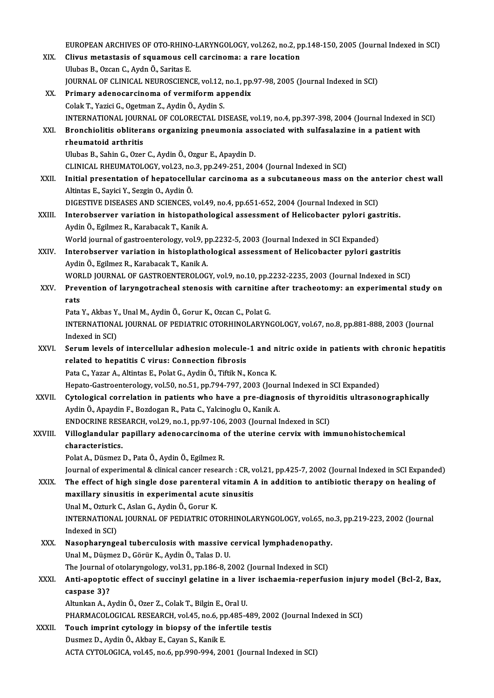EUROPEAN ARCHIVES OF OTO-RHINO-LARYNGOLOGY, vol.262, no.2, pp.148-150, 2005 (Journal Indexed in SCI)<br>Climic motactasis of squamous sell cansinomal a nano logation EUROPEAN ARCHIVES OF OTO-RHINO-LARYNGOLOGY, vol.262, no.2, p<br>XIX. Clivus metastasis of squamous cell carcinoma: a rare location EUROPEAN ARCHIVES OF OTO-RHINC<br>Clivus metastasis of squamous ce<br>Ulubas B., Ozcan C., Aydn Ö., Saritas E.<br>JOUPNAL OF CLINICAL NEUROSCIENC Clivus metastasis of squamous cell carcinoma: a rare location<br>Ulubas B., Ozcan C., Aydn Ö., Saritas E.<br>JOURNAL OF CLINICAL NEUROSCIENCE, vol.12, no.1, pp.97-98, 2005 (Journal Indexed in SCI) XX. Primary adenocarcinoma of vermiformappendix ColakT.,YaziciG.,OgetmanZ.,AydinÖ.,AydinS. Primary adenocarcinoma of vermiform appendix<br>Colak T., Yazici G., Ogetman Z., Aydin Ö., Aydin S.<br>INTERNATIONAL JOURNAL OF COLORECTAL DISEASE, vol.19, no.4, pp.397-398, 2004 (Journal Indexed in SCI)<br>Pronchiolitic obliterans Colak T., Yazici G., Ogetman Z., Aydin Ö., Aydin S.<br>INTERNATIONAL JOURNAL OF COLORECTAL DISEASE, vol.19, no.4, pp.397-398, 2004 (Journal Indexed in :<br>XXI. Bronchiolitis obliterans organizing pneumonia associated with sulfa INTERNATIONAL JOURN<br>Bronchiolitis oblitera<br>rheumatoid arthritis<br>Illybes B. Sebin G. Ozen Bronchiolitis obliterans organizing pneumonia associated with sulfasalazine in a patient with<br>rheumatoid arthritis<br>Ulubas B., Sahin G., Ozer C., Aydin Ö., Ozgur E., Apaydin D. CLINICAL RHEUMATOLOGY, vol.23, no.3, pp.249-251, 2004 (Journal Indexed in SCI) XXII. Initial presentation of hepatocellular carcinoma as a subcutaneous mass on the anterior chest wall AltintasE.,SayiciY.,SezginO.,AydinÖ. Initial presentation of hepatocellular carcinoma as a subcutaneous mass on the an<br>Altintas E., Sayici Y., Sezgin O., Aydin Ö.<br>DIGESTIVE DISEASES AND SCIENCES, vol.49, no.4, pp.651-652, 2004 (Journal Indexed in SCI)<br>Intereb Altintas E., Sayici Y., Sezgin O., Aydin Ö.<br>DIGESTIVE DISEASES AND SCIENCES, vol.49, no.4, pp.651-652, 2004 (Journal Indexed in SCI)<br>XXIII. Interobserver variation in histopathological assessment of Helicobacter pylori gas DIGESTIVE DISEASES AND SCIENCES, vol.4<br>Interobserver variation in histopatho<br>Aydin Ö., Egilmez R., Karabacak T., Kanik A.<br>World journal of gastroonterology, vol.9, n Interobserver variation in histopathological assessment of Helicobacter pylori gastritis.<br>Aydin Ö., Egilmez R., Karabacak T., Kanik A.<br>World journal of gastroenterology, vol.9, pp.2232-5, 2003 (Journal Indexed in SCI Expan Aydin Ö., Egilmez R., Karabacak T., Kanik A.<br>World journal of gastroenterology, vol.9, pp.2232-5, 2003 (Journal Indexed in SCI Expanded)<br>XXIV. Interobserver variation in histoplathological assessment of Helicobacter pylori World journal of gastroenterology, vol.9, p<br>Interobserver variation in histoplatho<br>Aydin Ö., Egilmez R., Karabacak T., Kanik A.<br>WORLD JOURNAL OF CASTROENTEROLOG Interobserver variation in histoplathological assessment of Helicobacter pylori gastritis<br>Aydin Ö., Egilmez R., Karabacak T., Kanik A.<br>WORLD JOURNAL OF GASTROENTEROLOGY, vol.9, no.10, pp.2232-2235, 2003 (Journal Indexed in Aydin Ö., Egilmez R., Karabacak T., Kanik A.<br>WORLD JOURNAL OF GASTROENTEROLOGY, vol.9, no.10, pp.2232-2235, 2003 (Journal Indexed in SCI)<br>XXV. Prevention of laryngotracheal stenosis with carnitine after tracheotomy: an WORLD JOURNAL OF GASTROENTEROLOGY, vol.9, no.10, pp.2232-2235, 2003 (Journal Indexed in SCI) Prevention of laryngotracheal stenosis with carnitine<br>rats<br>Pata Y., Akbas Y., Unal M., Aydin Ö., Gorur K., Ozcan C., Polat G.<br>INTERNATIONAL JOURNAL OF REDIATRIC OTORHINOLARYN rats<br>Pata Y., Akbas Y., Unal M., Aydin Ö., Gorur K., Ozcan C., Polat G.<br>INTERNATIONAL JOURNAL OF PEDIATRIC OTORHINOLARYNGOLOGY, vol.67, no.8, pp.881-888, 2003 (Journal<br>Indexed in SCD. Pata Y., Akbas Y.<br>INTERNATIONA<br>Indexed in SCI)<br>Sorum loyels INTERNATIONAL JOURNAL OF PEDIATRIC OTORHINOLARYNGOLOGY, vol.67, no.8, pp.881-888, 2003 (Journal<br>Indexed in SCI)<br>XXVI. Serum levels of intercellular adhesion molecule-1 and nitric oxide in patients with chronic hepatitis<br>re Indexed in SCI)<br>Serum levels of intercellular adhesion molecule-<br>related to hepatitis C virus: Connection fibrosis<br>Peta C. Yegar A. Altintes E. Polet C. Audin Ö. Tiftik N Serum levels of intercellular adhesion molecule-1 and n<br>related to hepatitis C virus: Connection fibrosis<br>Pata C., Yazar A., Altintas E., Polat G., Aydin Ö., Tiftik N., Konca K.<br>Hepata Costreenterelegy vel 50, no 51, np 79 related to hepatitis C virus: Connection fibrosis<br>Pata C., Yazar A., Altintas E., Polat G., Aydin Ö., Tiftik N., Konca K.<br>Hepato-Gastroenterology, vol.50, no.51, pp.794-797, 2003 (Journal Indexed in SCI Expanded)<br>Cytologia Pata C., Yazar A., Altintas E., Polat G., Aydin Ö., Tiftik N., Konca K.<br>Hepato-Gastroenterology, vol.50, no.51, pp.794-797, 2003 (Journal Indexed in SCI Expanded)<br>XXVII. Cytological correlation in patients who have a pre-d Hepato-Gastroenterology, vol.50, no.51, pp.794-797, 2003 (Journ Cytological correlation in patients who have a pre-diagned<br>Aydin Ö., Apaydin F., Bozdogan R., Pata C., Yalcinoglu O., Kanik A. Cytological correlation in patients who have a pre-diagnosis of thyroid<br>Aydin Ö., Apaydin F., Bozdogan R., Pata C., Yalcinoglu O., Kanik A.<br>ENDOCRINE RESEARCH, vol.29, no.1, pp.97-106, 2003 (Journal Indexed in SCI)<br>Willogl Aydin Ö., Apaydin F., Bozdogan R., Pata C., Yalcinoglu O., Kanik A.<br>ENDOCRINE RESEARCH, vol.29, no.1, pp.97-106, 2003 (Journal Indexed in SCI)<br>XXVIII. Villoglandular papillary adenocarcinoma of the uterine cervix with immu ENDOCRINE RESI<br>Villoglandular<br>characteristics.<br>Polat A. Düsmer Villoglandular papillary adenocarcinoma o<br>characteristics.<br>Polat A., Düsmez D., Pata Ö., Aydin Ö., Egilmez R.<br>Journal of synonimental & slinical sansar resson characteristics.<br>Polat A., Düsmez D., Pata Ö., Aydin Ö., Egilmez R.<br>Journal of experimental & clinical cancer research : CR, vol.21, pp.425-7, 2002 (Journal Indexed in SCI Expanded) XXIX. The effect of high single dose parenteral vitamin A in addition to antibiotic therapy on healing of maxillary sinusitis in experimental acute sinusitis The effect of high single dose parentera<br>maxillary sinusitis in experimental acute<br>Unal M., Ozturk C., Aslan G., Aydin Ö., Gorur K.<br>INTERNATIONAL JOURNAL OF REDIATRIC OT INTERNATIONAL JOURNAL OF PEDIATRIC OTORHINOLARYNGOLOGY, vol.65, no.3, pp.219-223, 2002 (Journal Indexed in SCI) Unal M., Ozturk<br>INTERNATIONA<br>Indexed in SCI)<br>Nasonharungs INTERNATIONAL JOURNAL OF PEDIATRIC OTORHINOLARYNGOLOGY, vol.65, no<br>Indexed in SCI)<br>XXX. Nasopharyngeal tuberculosis with massive cervical lymphadenopathy.<br>Inel M. Düsmer D. Görün K. Audin Ö. Teles D. II. Indexed in SCI)<br><mark>Nasopharyngeal tuberculosis with massive</mark><br>Unal M., Düşmez D., Görür K., Aydin Ö., Talas D. U.<br>The Journal of etalarungelegy vel 31. nr 196.8-2 Nasopharyngeal tuberculosis with massive cervical lymphadenopathy<br>Unal M., Düşmez D., Görür K., Aydin Ö., Talas D. U.<br>The Journal of otolaryngology, vol.31, pp.186-8, 2002 (Journal Indexed in SCI)<br>Anti-apontatis offect of Unal M., Düşmez D., Görür K., Aydin Ö., Talas D. U.<br>The Journal of otolaryngology, vol.31, pp.186-8, 2002 (Journal Indexed in SCI)<br>XXXI. Anti-apoptotic effect of succinyl gelatine in a liver ischaemia-reperfusion injury mo The Journal of otolaryngology, vol.31, pp.186-8, 2002 (Journal Indexed in SCI)<br>Anti-apoptotic effect of succinyl gelatine in a liver ischaemia-reperfu:<br>caspase 3)?<br>Altunkan A., Aydin Ö., Ozer Z., Colak T., Bilgin E., Oral Anti-apoptotic effect of succinyl gelatine in a live<br>caspase 3)?<br>Altunkan A., Aydin Ö., Ozer Z., Colak T., Bilgin E., Oral U.<br>PHAPMACOLOCICAL PESEAPCH .vol 45 no 6 nn 485 4 caspase 3)?<br>Altunkan A., Aydin Ö., Ozer Z., Colak T., Bilgin E., Oral U.<br>PHARMACOLOGICAL RESEARCH, vol.45, no.6, pp.485-489, 2002 (Journal Indexed in SCI)<br>Tough imprint autology in bionay of the infartile testic Altunkan A., Aydin Ö., Ozer Z., Colak T., Bilgin E., Oral U.<br>PHARMACOLOGICAL RESEARCH, vol.45, no.6, pp.485-489, 200<br>XXXII. Touch imprint cytology in biopsy of the infertile testis<br>Dusmes D. Aydin Ö. Althou E. Cayon S. Kap

# PHARMACOLOGICAL RESEARCH, vol.45, no.6, pp<br>Touch imprint cytology in biopsy of the in:<br>Dusmez D., Aydin Ö., Akbay E., Cayan S., Kanik E. Touch imprint cytology in biopsy of the infertile testis<br>Dusmez D., Aydin Ö., Akbay E., Cayan S., Kanik E.<br>ACTA CYTOLOGICA, vol.45, no.6, pp.990-994, 2001 (Journal Indexed in SCI)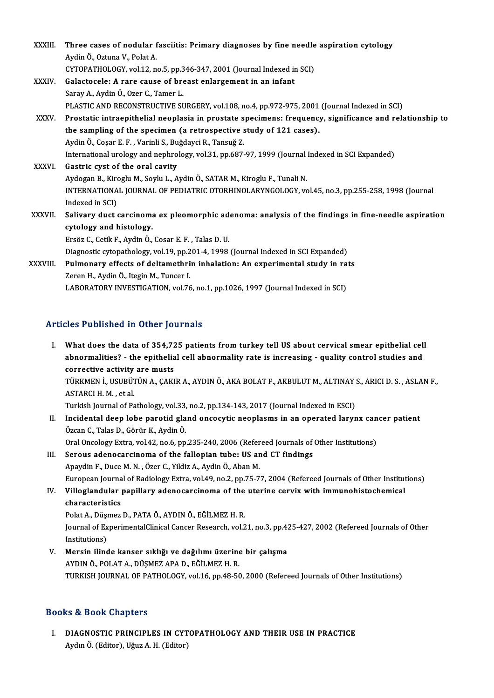| <b>XXXIII</b> | Three cases of nodular fasciitis: Primary diagnoses by fine needle aspiration cytology                 |
|---------------|--------------------------------------------------------------------------------------------------------|
|               | Aydin Ö., Oztuna V., Polat A.                                                                          |
|               | CYTOPATHOLOGY, vol.12, no.5, pp.346-347, 2001 (Journal Indexed in SCI)                                 |
| XXXIV.        | Galactocele: A rare cause of breast enlargement in an infant                                           |
|               | Saray A., Aydin Ö., Ozer C., Tamer L.                                                                  |
|               | PLASTIC AND RECONSTRUCTIVE SURGERY, vol.108, no.4, pp.972-975, 2001 (Journal Indexed in SCI)           |
| <b>XXXV</b>   | Prostatic intraepithelial neoplasia in prostate specimens: frequency, significance and relationship to |
|               | the sampling of the specimen (a retrospective study of 121 cases).                                     |
|               | Aydin Ö., Coşar E. F., Varinli S., Buğdayci R., Tansuğ Z.                                              |
|               | International urology and nephrology, vol.31, pp.687-97, 1999 (Journal Indexed in SCI Expanded)        |
| <b>XXXVI</b>  | Gastric cyst of the oral cavity                                                                        |
|               | Aydogan B., Kiroglu M., Soylu L., Aydin Ö., SATAR M., Kiroglu F., Tunali N.                            |
|               | INTERNATIONAL JOURNAL OF PEDIATRIC OTORHINOLARYNGOLOGY, vol.45, no.3, pp.255-258, 1998 (Journal        |
|               | Indexed in SCI)                                                                                        |
| XXXVII.       | Salivary duct carcinoma ex pleomorphic adenoma: analysis of the findings in fine-needle aspiration     |
|               | cytology and histology.                                                                                |
|               | Ersöz C., Cetik F., Aydin Ö., Cosar E. F., Talas D. U.                                                 |
|               | Diagnostic cytopathology, vol.19, pp.201-4, 1998 (Journal Indexed in SCI Expanded)                     |
| XXXVIII.      | Pulmonary effects of deltamethrin inhalation: An experimental study in rats                            |
|               | Zeren H., Aydin Ö., Itegin M., Tuncer I.                                                               |
|               | LABORATORY INVESTIGATION, vol.76, no.1, pp.1026, 1997 (Journal Indexed in SCI)                         |

# Articles Published in Other Journals

- I. What does the data of 354,725 patients from turkey tell US about cervical smear epithelial cell aboor abnonce in other journals<br>What does the data of 354,725 patients from turkey tell US about cervical smear epithelial cel<br>abnormalities? - the epithelial cell abnormality rate is increasing - quality control studies a What does the data of 354,72<br>abnormalities? - the epithelia<br>corrective activity are musts<br>TÜRKAEN LUSUPÜTÜN A. CAKI abnormalities? - the epithelial cell abnormality rate is increasing - quality control studies and<br>corrective activity are musts<br>TÜRKMEN İ., USUBÜTÜN A., ÇAKIR A., AYDIN Ö., AKA BOLAT F., AKBULUT M., ALTINAY S., ARICI D. S. corrective activity<br>TÜRKMEN İ., USUBÜT<br>ASTARCI H. M. , et al.<br>Turkish Journal of Be TÜRKMEN İ., USUBÜTÜN A., ÇAKIR A., AYDIN Ö., AKA BOLAT F., AKBULUT M., ALTINAY :<br>ASTARCI H. M. , et al.<br>Turkish Journal of Pathology, vol.33, no.2, pp.134-143, 2017 (Journal Indexed in ESCI)<br>Insidentel deen lebe peretid sl ASTARCI H. M. , et al.<br>Turkish Journal of Pathology, vol.33, no.2, pp.134-143, 2017 (Journal Indexed in ESCI)<br>II. Incidental deep lobe parotid gland oncocytic neoplasms in an operated larynx cancer patient<br>Özcan C., Talas Turkish Journal of Pathology, vol.33, no.2, pp.134-143, 2017 (Journal Indexed in ESCI)
- Oral Oncology Extra, vol.42, no.6, pp.235-240, 2006 (Refereed Journals of Other Institutions)
- III. Serous adenocarcinoma of the fallopian tube: US and CT findings ApaydinF.,DuceM.N. ,Özer C.,YildizA.,AydinÖ.,AbanM. Serous adenocarcinoma of the fallopian tube: US and CT findings<br>Apaydin F., Duce M. N. , Özer C., Yildiz A., Aydin Ö., Aban M.<br>European Journal of Radiology Extra, vol.49, no.2, pp.75-77, 2004 (Refereed Journals of Other I

# IV. Villoglandular papillary adenocarcinoma of the uterine cervix with immunohistochemical characteristics European Journa<br>Villoglandular<br>characteristics<br><sup>Rolat A</sup> Düsmer Villoglandular papillary adenocarcinoma of the<br>characteristics<br>Polat A., Düşmez D., PATA Ö., AYDIN Ö., EĞİLMEZ H. R.<br>Journal of EvnerimentelClinical Cancer Bessarsh vel 3

Journal of ExperimentalClinical Cancer Research, vol.21, no.3, pp.425-427, 2002 (Refereed Journals of Other Institutions) Polat A., Düşi<br>Journal of Ex<br>Institutions)<br>Monsin ilind Journal of ExperimentalClinical Cancer Research, vol.21, no.3, pp.42<br>Institutions)<br>V. Mersin ilinde kanser sıklığı ve dağılımı üzerine bir çalışma<br>AVDIN Ö. POLATA, DÜSMEZARA D. EĞİLMEZH P.

Institutions)<br>Mersin ilinde kanser sıklığı ve dağılımı üzerine<br>AYDIN Ö., POLAT A., DÜŞMEZ APA D., EĞİLMEZ H. R.<br>TURKISH JOURNAL OF RATHOLOCY vel 16-nn 48-50 AYDIN Ö., POLAT A., DÜŞMEZ APA D., EĞİLMEZ H. R.<br>TURKISH JOURNAL OF PATHOLOGY, vol.16, pp.48-50, 2000 (Refereed Journals of Other Institutions)

# Books&Book Chapters

I. DIAGNOSTIC PRINCIPLES IN CYTOPATHOLOGY AND THEIR USE IN PRACTICE Aydın Ö. (Editor), Uğuz A.H. (Editor)